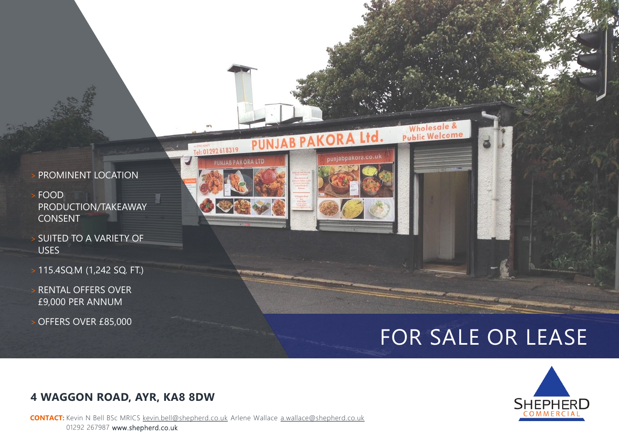

- > FOOD PRODUCTION/TAKEAWAY CONSENT
- > SUITED TO A VARIETY OF USES
- > 115.4SQ.M (1,242 SQ. FT.)
- RENTAL OFFERS OVER £9,000 PER ANNUM
- OFFERS OVER £85,000



# FOR SALE OR LEASE

Wholesale &

abpakora.co.uk



### **4 WAGGON ROAD, AYR, KA8 8DW**

**CONTACT:** Kevin N Bell BSc MRICS [kevin.bell@shepherd.co.uk](mailto:kevin.bell@shepherd.co.uk) Arlene Wallace [a.wallace@shepherd.co.uk](mailto:a.Wallace@shepherd.co.uk) 01292 267987 www.shepherd.co.uk